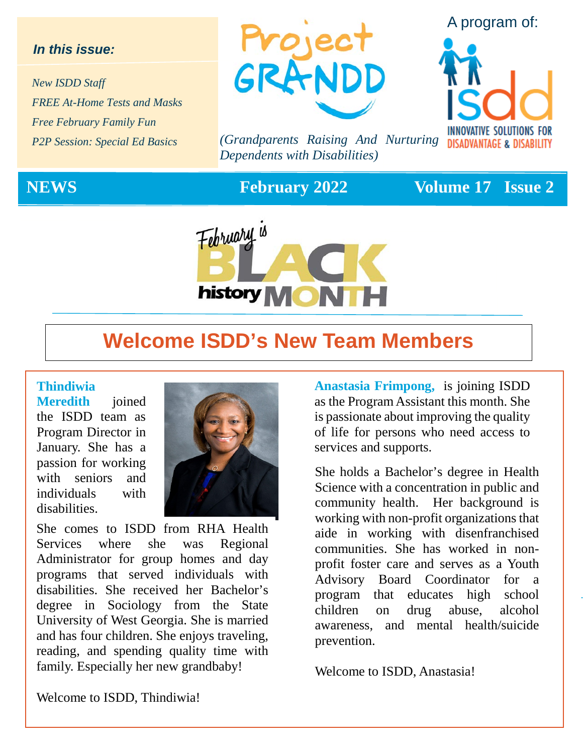### *In this issue:*

*New ISDD Staff FREE At-Home Tests and Masks Free February Family Fun P2P Session: Special Ed Basics*



*(Grandparents Raising And Nurturing*  DISADVANTAGE & DISABILITY *Dependents with Disabilities)*



A program of:



## **Welcome ISDD's New Team Members**

#### **Thindiwia**

**Meredith** joined the ISDD team as Program Director in January. She has a passion for working with seniors and individuals with disabilities.



 She comes to ISDD from RHA Health Services where she was Regional Administrator for group homes and day programs that served individuals with disabilities. She received her Bachelor's degree in Sociology from the State University of West Georgia. She is married and has four children. She enjoys traveling, reading, and spending quality time with family. Especially her new grandbaby!

**Anastasia Frimpong,** is joining ISDD as the Program Assistant this month. She is passionate about improving the quality of life for persons who need access to services and supports.

She holds a Bachelor's degree in Health Science with a concentration in public and community health. Her background is working with non-profit organizations that aide in working with disenfranchised communities. She has worked in nonprofit foster care and serves as a Youth Advisory Board Coordinator for a program that educates high school children on drug abuse, alcohol awareness, and mental health/suicide prevention.

Welcome to ISDD, Anastasia!

Welcome to ISDD, Thindiwia!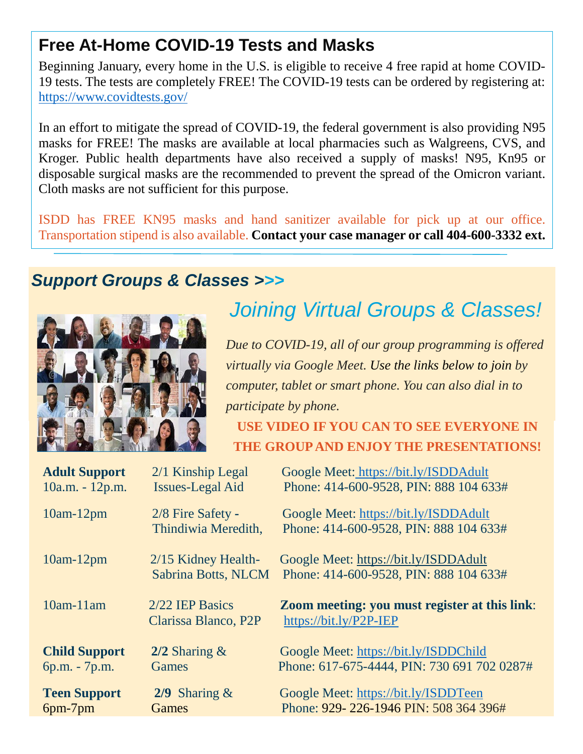## **Free At-Home COVID-19 Tests and Masks**

Beginning January, every home in the U.S. is eligible to receive 4 free rapid at home COVID-19 tests. The tests are completely FREE! The COVID-19 tests can be ordered by registering at: <https://www.covidtests.gov/>

In an effort to mitigate the spread of COVID-19, the federal government is also providing N95 masks for FREE! The masks are available at local pharmacies such as Walgreens, CVS, and Kroger. Public health departments have also received a supply of masks! N95, Kn95 or disposable surgical masks are the recommended to prevent the spread of the Omicron variant. Cloth masks are not sufficient for this purpose.

ISDD has FREE KN95 masks and hand sanitizer available for pick up at our office. Transportation stipend is also available. **Contact your case manager or call 404-600-3332 ext.** 

## *Support Groups & Classes >>>*



# *Joining Virtual Groups & Classes!*

*Due to COVID-19, all of our group programming is offered virtually via Google Meet. Use the links below to join by computer, tablet or smart phone. You can also dial in to participate by phone.* 

**USE VIDEO IF YOU CAN TO SEE EVERYONE IN THE GROUP AND ENJOY THE PRESENTATIONS!**

| <b>Adult Support</b><br>10a.m. - 12p.m. | $2/1$ Kinship Legal<br><b>Issues-Legal Aid</b> | Google Meet: https://bit.ly/ISDDAdult<br>Phone: 414-600-9528, PIN: 888 104 633#      |
|-----------------------------------------|------------------------------------------------|--------------------------------------------------------------------------------------|
| $10am-12pm$                             | 2/8 Fire Safety -<br>Thindiwia Meredith,       | Google Meet: https://bit.ly/ISDDAdult<br>Phone: 414-600-9528, PIN: 888 104 633#      |
| $10am-12pm$                             | $2/15$ Kidney Health-<br>Sabrina Botts, NLCM   | Google Meet: https://bit.ly/ISDDAdult<br>Phone: 414-600-9528, PIN: 888 104 633#      |
|                                         |                                                |                                                                                      |
| $10am-11am$                             | 2/22 IEP Basics<br>Clarissa Blanco, P2P        | Zoom meeting: you must register at this link:<br>https://bit.ly/P2P-IEP              |
| <b>Child Support</b>                    | $2/2$ Sharing $\&$                             |                                                                                      |
| 6p.m. - 7p.m.                           | <b>Games</b>                                   | Google Meet: https://bit.ly/ISDDChild<br>Phone: 617-675-4444, PIN: 730 691 702 0287# |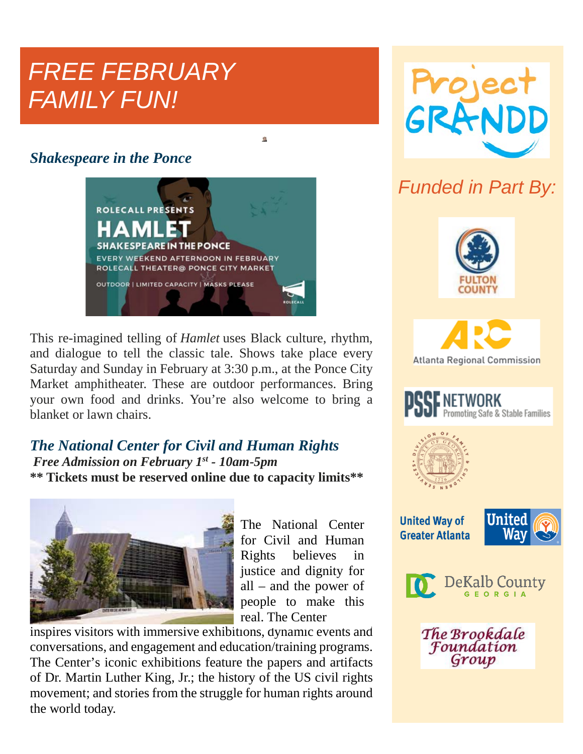# *FREE FEBRUARY FAMILY FUN!*

### *Shakespeare in the Ponce*



Ġ.

This re-imagined telling of *Hamlet* uses Black culture, rhythm, and dialogue to tell the classic tale. Shows take place every Saturday and Sunday in February at 3:30 p.m., at the Ponce City Market amphitheater. These are outdoor performances. Bring your own food and drinks. You're also welcome to bring a blanket or lawn chairs.

### *The National Center for Civil and Human Rights Free Admission on February 1st - 10am-5pm* **\*\* Tickets must be reserved online due to capacity limits\*\***



The National Center for Civil and Human Rights believes in justice and dignity for all – and the power of people to make this real. The Center

inspires visitors with immersive exhibitions, dynamic events and conversations, and engagement and education/training programs. The Center's iconic exhibitions feature the papers and artifacts of Dr. Martin Luther King, Jr.; the history of the US civil rights movement; and stories from the struggle for human rights around the world today.



# *Funded in Part By:*









**United Way of Greater Atlanta** 





The Brookdale Foundation Group